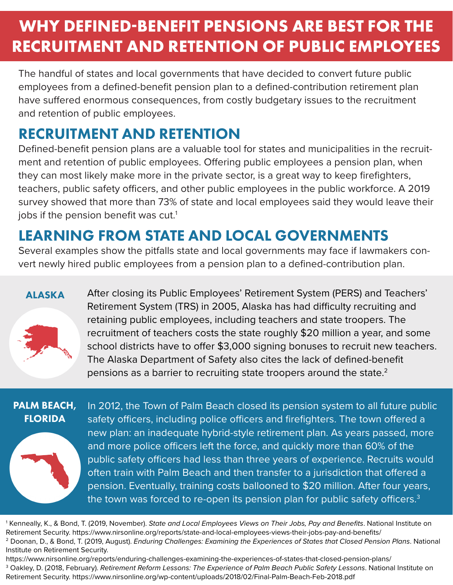# **WHY DEFINED-BENEFIT PENSIONS ARE BEST FOR THE RECRUITMENT AND RETENTION OF PUBLIC EMPLOYEES**

The handful of states and local governments that have decided to convert future public employees from a defined-benefit pension plan to a defined-contribution retirement plan have suffered enormous consequences, from costly budgetary issues to the recruitment and retention of public employees.

## RECRUITMENT AND RETENTION

Defined-benefit pension plans are a valuable tool for states and municipalities in the recruitment and retention of public employees. Offering public employees a pension plan, when they can most likely make more in the private sector, is a great way to keep firefighters, teachers, public safety officers, and other public employees in the public workforce. A 2019 survey showed that more than 73% of state and local employees said they would leave their jobs if the pension benefit was cut.<sup>1</sup>

### LEARNING FROM STATE AND LOCAL GOVERNMENTS

Several examples show the pitfalls state and local governments may face if lawmakers convert newly hired public employees from a pension plan to a defined-contribution plan.

#### ALASKA



After closing its Public Employees' Retirement System (PERS) and Teachers' Retirement System (TRS) in 2005, Alaska has had difficulty recruiting and retaining public employees, including teachers and state troopers. The recruitment of teachers costs the state roughly \$20 million a year, and some school districts have to offer \$3,000 signing bonuses to recruit new teachers. The Alaska Department of Safety also cites the lack of defined-benefit pensions as a barrier to recruiting state troopers around the state. $2$ 

#### PALM BEACH, FLORIDA



In 2012, the Town of Palm Beach closed its pension system to all future public safety officers, including police officers and firefighters. The town offered a new plan: an inadequate hybrid-style retirement plan. As years passed, more and more police officers left the force, and quickly more than 60% of the public safety officers had less than three years of experience. Recruits would often train with Palm Beach and then transfer to a jurisdiction that offered a pension. Eventually, training costs ballooned to \$20 million. After four years, the town was forced to re-open its pension plan for public safety officers. $3$ 

1 Kenneally, K., & Bond, T. (2019, November). *State and Local Employees Views on Their Jobs, Pay and Benefits*. National Institute on Retirement Security. https://www.nirsonline.org/reports/state-and-local-employees-views-their-jobs-pay-and-benefits/ 2 Doonan, D., & Bond, T. (2019, August). *Enduring Challenges: Examining the Experiences of States that Closed Pension Plans*. National Institute on Retirement Security.

https://www.nirsonline.org/reports/enduring-challenges-examining-the-experiences-of-states-that-closed-pension-plans/

3 Oakley, D. (2018, February). *Retirement Reform Lessons: The Experience of Palm Beach Public Safety Lessons*. National Institute on Retirement Security. https://www.nirsonline.org/wp-content/uploads/2018/02/Final-Palm-Beach-Feb-2018.pdf